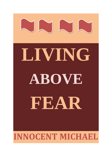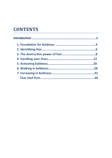# **CONTENTS**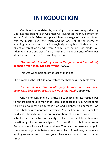# **INTRODUCTION**

God is not intimidated by anything, so you are being called by God into the boldness of God that will guarantee your fulfillment on earth. God made Adam and placed him in charge of creation. Adam was the master over the earth and he was not at the mercy of anything. Adam was not afraid of anybody or anything. Nothing was an object of threat or dread before Adam. Even before God made Eve, Adam was alone and was afraid of nothing. The appearance of fear was after the fall of man in Genesis Chapter three;

#### *"And he said, I heard thy voice in the garden and I was afraid, because I was naked, and I hid myself" (Vs 10)*

This was when boldness was lost by mankind.

Christ came as the last Adam to restore that boldness. The bible says

#### *"Herein is our love made perfect, that we may have boldness…..because as he is, so are we in this world"1 John 4:17*

One major assignment of Christ's life, death and resurrection was to restore boldness to man that Adam lost because of sin. Christ came to give us boldness to approach God and boldness to approach God equals boldness to approach anything. Your calling in God is a call to boldness. Timidity is a misrepresentation of divinity. Audacity is actually the true picture of divinity. To know God and be in fear is a questioning of your knowledge of God. No God, no boldness. Know God and you will surely know boldness. The devil has been in charge in some areas in your life before now due to lack of boldness, but you are getting to know and to take your place once again in Jesus name. Amen.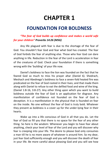# **CHAPTER 1**

# **FOUNDATION FOR BOLDNESS**

### *"The fear of God builds up confidence and makes a world safe for your children" Proverbs 14:26 (MSG)*

Any life plagued with fear is due to the shortage of the fear of God. You shouldn't fear God and fear what God has created. The fear of God forbids the fear of anything else. Those who fear God can dare anything in life. Reduction in the fear of the Lord is acceleration in fear of the creatures of God. Check your foundation if there is something wrong with the 'building' of your life now.

Daniel's boldness to face the lion was founded on the fact that he feared God so much to miss his prayer altar (Daniel 6). Shedrach, Meshach and Abednego's boldness to face a seven-fold heated fire was predicated on the fear of God rooted in their lives; and that made them along with Daniel to refuse to eat the defiled food and wine of the king. (Daniel 1:8-16, 3:8-27). Any other thing upon which you want to build boldness outside the fear of God is an application for disgrace. Any manifestation of confidence not founded on the fear of God is deception. It is a manifestation in the physical that is founded on fear on the inside. No one without the fear of God is truly bold. Whatever they present as boldness is a cover up for the under-lying fear in their hearts.

Wake up into a life conscious of God in all that you do. Let the fear of God so fill you that there is no space for the fear of any other thing. So here is the wisdom: Whenever you begin to have fear about anything, check your level of fear of the Lord and you will discover why fear is creeping into your life. The desire to please God only consumes a man till he is no more aware of whatever is around him. So my dear, just fear God sufficiently enough and you will discover the death of fear in your life. Be more careful about pleasing God and you will see how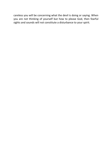careless you will be concerning what the devil is doing or saying. When you are not thinking of yourself but how to please God, then fearful sights and sounds will not constitute a disturbance to your spirit.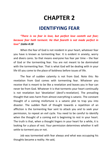# **CHAPTER 2**

# **IDENTIFYING FEAR**

# *"There is no fear in love, but perfect love casteth out fear; because fear hath torment. He that feareth is not made perfect in love" 1John 4:18*

When the fear of God is not resident in your heart, whatever fear you have is known as tormenting fear. It is evident in anxiety, worry and divers cares. So that means everyone has fear per time – the fear of God or the tormenting fear. You are not meant to be dominated with the tormenting fear. That is what God will be dealing with in your life till you come to the place of boldness before issues of life.

The fear of sudden calamity is not from God. Note this: No revelation from God comes with tormenting fear. Whatever you receive that is meant to be like a revelation and leaves you in fear can never be from God. Whatever it is that torments your heart continually is not revelation but 'develation' (devil's-revelation). The prevailing thought that sees harm from almost everything is satanic. The constant thought of a coming misfortune is a satanic plot to trap you into disaster. The sudden flash of thought towards a repetition of an affliction is the tormenting fear sent to attack you and to seek your permission, to repeat an evil cycle. You need to be careful to identify when the thought of a coming evil is beginning to rest in your heart. The truth is that, when a thought lingers in your heart for a while, it is looking for a place of rest. Your permission determines whether it will settle to torment you or not.

Job was tormented with fear always and what was occupying his thoughts became a reality. He said,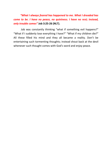## *"What I always feared has happened to me. What I dreaded has come to be. I have no peace, no quietness. I have no rest; instead, only trouble comes"* **Job 3:25-26 (NLT).**

Job was constantly thinking "what if something evil happens?" "What if I suddenly lose everything I have?" "What if my children die?" All these filled his mind and they all became a reality. Don't be entertaining such tormenting thoughts; instead shout back at the devil whenever such thought comes with God's word and enjoy peace.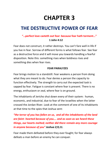# **CHAPTER 3**

# **THE DESTRUCTIVE POWER OF FEAR**

# **"…perfect love casteth out fear: because fear hath torment…" 1 John 4:12**

Fear does not construct, it rather destroys. You can't fare well in life if you live in fear. Sorrow of different forms is what follows fear. See fear as a destructive force and it will move you towards handling a fearful disposition. Note this: something rises when boldness rises and something dies when fear rises.

#### **FEAR PARALYZES**

Fear brings motion to a standstill. Fear weakens a person from doing what they are meant to do. Fear denies a person the capacity to function effectively. The strength to carry out the expected task is sapped by fear. Fatigue is constant where fear is present. There is no energy, enthusiasm or zeal, where fear is on ground.

The inhabitants of Jericho shut down every of their system: human, economic, and industrial, due to fear of the Israelites when the latter crossed the Jordan River. Look at the comment of one of its inhabitants at that time to the spies that Joshua sent:

*"the terror of you has fallen on us, and all the inhabitants of the land are faint- hearted because of you…. and as soon as we heard these things, our hearts melted; neither did there remain any more courage in anyone because of you" Joshua 2;9,11.*

Fear made them defeated before they ever fought; for fear always defeats a man before an enemy he can conquer.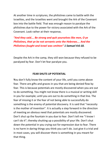At another time in scriptures, the philistines came to battle with the Israelites, and the Israelites went and brought the Ark of the Covenant box into the battle field. That was enough reason to paralyze the philistines due to the power for victory associated with the Ark of the Covenant. Look rather at their response,

*"And they said…. Be strong and quit yourselves like men, O ye Philistines, that ye be not servants unto the Hebrews…. And the Philistines fought and Israel was smitten" 1 Samuel 4:6-10.* 

Despite the Ark in the camp, they still won because they refused to be paralyzed by fear. Don't let fear paralyze you.

#### **FEAR SHUTS UP POTENTIAL**

**Y**ou don't fully know the content of your life, until you come above fear. There are gifts and graces in you that are being denied flow by fear. This is because potentials are mostly discovered when you are out to do something. You might not know there is a musical or writing skill in you for example; until you are out to do something in that line. The fear of missing it or the fear of not being able to successfully do something is the enemy of potential discovery. It is said that "necessity is the mother of invention". It is actually a step forward in the direction of meeting an obvious need that potentials are mostly discovered. Don't shut up the fountain in you due to fear. Don't tell me "I know I can't do it"; thereby shutting up a possibility of your life. Don't shut down the potential in you crying out for expression due to fear. There is no harm in daring things you think you can't do. Just give it a trial and in most cases, you will discover there is something in you meant for that thing.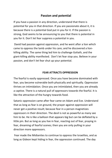# **Passion and potential**

If you have a passion in any direction, understand that there is potential for you in that direction. If you are passionate about it, it is because there is a potential God put in you for it. If the passion is strong, God seems to be announcing to you that there is potential in you for it. Don't let fear suppress a potential in you.

David had passion against oppression, and he went after a lion which came to oppress the lamb under his care; and he discovered a lionkilling ability. The same thing led him to challenge Goliath, and the giant-killing ability manifested. Don't let fear stop you. Believe in your passion, and don't let fear shut up your potential.

#### **FEAR ATTRACTS OPPRESSION**

The fearful is easily oppressed. Once you have become dominated with fear, you become vulnerable both physically and spiritually. Oppression thrives on intimidation. Once you are intimidated, then you are already a captive. There is a natural pull of oppressors towards the fearful. It is like the attraction of the hungry towards food.

Satanic oppression came after fear came on Adam and Eve. Understand that as long as fear is on ground, the prayer against oppression will never get a positive result; because fear in a person magnetizes oppressors in their direction. The devil is not as powerful as many see him to be. He is like a balloon that appears big but can be deflated by a little pin. But as long as you live in fear, reacting out of fear, praying in fear, dreaming of fearful scenes; then you are only pulling in your direction more oppressors.

Fear made the Midianites to continue to oppress the Israelites, and as long as Gideon kept hiding in fear, the oppression continued. The day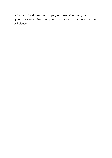he 'woke up' and blew the trumpet, and went after them, the oppression ceased. Stop the oppression and send back the oppressors by boldness.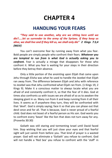# **CHAPTER 4**

# **HANDLING YOUR FEARS**

*"They said to one another, why are we sitting here until we die?.....let us surrender to the army of the Syrians. If they keep us alive, we shall live and if they kill us, we shall only die" 2 Kings 7:3,4 (NKJV)*

You can't overcome fear by running away from what you fear. Bold people are simply people who confront their fears. *Whatever you are tempted to run from is what God is actually asking you to confront.* Fear is actually a mirage that disappears for those who confront it. What you fear is waiting for your steps in their direction before they betray their absence.

Only a little portion of the anointing upon Elijah that came upon Jehu through Elisha was what he used to handle the Jezebel that Elijah ran away from. The difference between Elijah and Jehu with reference to Jezebel was that Jehu confronted what Elijah ran from. (1 Kings 19, 2 Kings 9). Make it a conscious matter to always locate what you are afraid of and constantly confront it, so that the fear of it dies. God at times also confronts us with issues we are afraid of so as to awaken the sleeping giant in us. Many run from it and keep running from it all their lives. It seems as if anywhere they turn, they will be confronted with that 'devil'. God is simply saying; face it so that you can phase out that devil once and for all. That is because, God is never proud of a fearful child. God does not boast of a fearful person as His son. God wants you to confront every 'beast' like the lion that does not turn away for any. (Proverbs 30:30)

Goliath was still staring and tormenting Israel until David faced him. Stop wishing that you will just close your eyes and that fearful sight will just vanish from before you. That kind of prayer is a wasted prayer. God will not eliminate a 'Goliath' you refuse to confront. God will not handle a 'Red Sea' you refuse to confront with the 'staff' in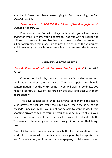your hand. Moses and Israel were crying to God concerning the Red Sea and He said*,* 

#### *"Why do you cry to Me? Tell the children of Israel to go forward" Exodus 14:15 (NKJV)*.

Please know that God will not sympathize with you when you are crying for what He wants you to confront. That was why he replied the children of Israel and Moses like that. It was fear that God was trying to kill out of Israelites that made Him to pass them through the wilderness and it was only those who overcame fear that entered the Promised Land.

#### **HANDLING ARROWS OF FEAR**

## *"You shall not be afraid… of the arrow that flies by day" Psalm 91:5 (NKJV)*

Composition begins by introduction. You can't handle the content until you monitor the entrance. The best point to handle contamination is at the entry point. If you will walk in boldness, you need to identify arrows of fear fired by the devil and deal with them appropriately.

The devil specializes in shooting arrows of fear into the heart. Such arrows of fear are what the Bible calls "the fiery darts of the wicked" (Ephesians 6:16). You might not be able to stop the devil from shooting arrows of fear to you, but you should be able to shield your heart from the arrows of fear. That shield is called the shield of faith. The arrow of the enemy can be sent through information that brings fear.

Fearful information moves faster than faith-filled information in the world. It is sponsored by the devil and propagated by his agents. It is 'sold' on television, on internet, on Newspapers, on bill-boards or on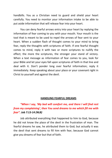handbills. You as a Christian need to guard and shield your heart carefully. You need to monitor your information intake to be able to put aside information that will release fear into your heart.

You can deny fearful arrows entry into your heart by replying the information of fear coming to you with your mouth. Your mouth is the tool that is meant to be used to repel the arrows of fear sent to your heart. When a sudden flash of thought comes to your mind to bring fear, reply the thoughts with scriptures of faith. If one fearful thought comes to mind, reply it with two or more scriptures to nullify the effect; the more the scriptures, the stronger your stand of victory. When a text message as information of fear comes to you, look for your Bible and let your eyes fall upon scriptures of faith in that line and deal with it. Don't ponder long over fearful information; reply it immediately. Keep speaking about your place or your covenant right in Christ to yourself and against the devil.

#### **HANDLING FEARFUL DREAMS**

# *"When I say, 'My bed will comfort me, and there I will find rest from my complaining', then You send dreams to me which fill me with fear". Job 7:13-14 (NLB)*

Job attributed everything that happened to him to God, because he did not know the place of the devil in the frustration of man. The fearful dreams he saw, he attributed them to God; but actually it was the devil that sent dreams to fill him with fear, because God cannot give you dreams of fear but that of faith.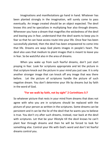Imaginations and manifestations go hand in hand. Whatever has been planted strongly in the imagination, will surely come to pass eventually. An image created should be an object expected. The devil knows this and he specializes in multiplying fear also through dreams. Whenever you have a dream that magnifies the wickedness of the devil and leaving you in fear, understand that the devil wants to keep you in fear so that he can have access route into your life. Once fear has been successfully planted, then the devil has been empowered to come into that life. Dreams are ways God plants images in people's heart. The devil also uses that medium to plant images that is meant to leave you in fear. So be watchful also in the area of dreams.

When you wake up from such fearful dreams, don't just start praying in fear. Look for scriptures appropriate and let the picture in that scripture knock out the picture in your mind you just saw. It is only another stronger image that can knock off any image that was there before. Let the picture of scriptures handle the picture of such negative dream. You don't determine your life by dreams but by faith in the word of God.

#### **"For we walk by faith, not by sight" 2 Corinthians 5:7**

So whatever picture that rests in your mind from dreams that does not agree with who you are in scriptures should be replaced with the picture of your person as written in the scriptures. Some dreams can be persistent and it can be the lie of the devil that he wants you to believe is true. You don't cry after such dreams, instead, roar back at the devil with scriptures. Let that be your lifestyle till the devil knows he can't plant fear through dreams and then he will be forced to look for something else. Control your life with God's word and don't let fearful dreams control you.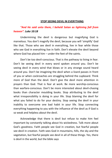#### **STOP SEEING DEVIL IN EVERYTHING**

## *"And He said unto them, I beheld Satan as lightning fall from heaven". Luke 10:18*

Undermining the devil is dangerous but magnifying God is marvelous. You don't magnify the devil, because you will 'simplify' God like that. Those who see devil in everything, live in fear while those who see God in everything live in faith. Don't elevate the devil beyond where God has placed him – under the feet of the saints.

Don't be too devil-conscious. That is the pathway to living in fear. Don't be seeing devil in every word spoken around you. Don't be seeing devil in every wind that blows or in any strange sound heard around you. Don't be imagining the devil when a lizard passes in front of you or when cockroaches are struggling behind the cupboard. Think more of God than the devil. Don't give the devil more attention in prayers than God. That is fear at work. Be more worship-conscious than warfare-conscious. Don't be more interested about devil-chasing books than character moulding books. Stop attributing to the devil what irresponsibility is doing in your life. Stop blaming the devil for what you failed to do for your destiny. Stop seeing the devil in your inability to overcome one bad habit in your life. Stop connecting everything happening to you with the influence of the devil as if God is so weak and helpless about the devil.

Acknowledge that there is devil but refuse to make him feel important by constantly talking about his wickedness. Talk more about God's goodness. Faith people see God in creation, but fearful people see devil in creation. Faith sees God in mountains, hills, the sky and the vegetation, but fearful people see devil in all of these things. Yes, there is devil in the world, but the bible says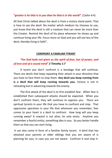*"greater is he that is in you than he that is in the world".* (1John 4:4)

All that Christ talked about the devil is from a victory stand point. That is how to see the devil. No matter which medium he chooses to use, just know that the devil is still a creature that can never be more than the Creator. Remind the devil of his place whenever he shows up and continue living your life. Focus more on God and you will see less of the devil, thereby living in faith".

#### **CONFRONT A FAMILIAR TYRANT**

## *"For God hath not given us the spirit of fear, but of power, and of love and of a sound mind" 2 Timothy 1:7*

A tyrant you don't confront is a bondage that will continue. There are devils that keep repeating their attack in your direction that you have to face them to stop them. **Any devil you keep running from is a devil that will keep running towards you.** Victory is not in retreating but in advancing towards the enemy.

The first attack of the devil is to first establish fear. When fear is established then subsequent attacks should be expected. When you don't confront them, they will continue to oppress you. There are spiritual tyrants in your life that you have to confront and stop. That oppressive operation in your life that whenever you remember, fear comes to your heart is a devil to confront. How long will you keep running away? A coward is not alive; he only exists. Anytime you remember a fearful entity, something dies in you. So you better handle them so that you can start living.

It can also come in form of a familiar family tyrant. A devil that has attacked your parents or older siblings that you are aware of is planning for you; in case you are not aware. Confront it and stop it.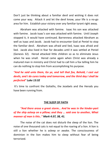Don't just be thinking about a familiar devil and wishing it does not come your way. Attack it and let the devil know, your life is a no-go area for him. Establish your victory over any familiar tyrant right away.

Abraham was attacked with famine. Isaac his son was attacked with famine. Jacob Isaac's son was attacked with famine. Until Joseph stopped it, it would have continued. Barrenness attacked Abraham as well as Isaac and Jacob. Jacob had to encounter God at Peniel to stop the familiar devil. Abraham was afraid and lied, Isaac was afraid and lied. Jacob also lived in fear for decades until it was settled at Peniel (Genesis 32). Herod attacked little children so as to eliminate Jesus when he was small. Herod came again when Christ was already a matured man in ministry and Christ had to call him a fox telling him he can do nothing to stop him from accomplishing his purpose.

# *"And he said unto them, Go ye, and tell that fox, Behold, I cast out devils, and I do cures today and tomorrow, and the third day I shall be perfected" Luke 13:32*

It's time to confront the Goliaths, the Jezebels and the Herods you have been running from.

#### **THE SLEEP OF FAITH**

# *"And there arose a great storm… And he was in the hinder-part of the ship asleep on a pillow; and they … said one to another, What manner of man is this.." Mark 4:37, 38, 41.*

The noise of the cat does not disturb the sleep of the lion. The noise of one thousand cats is not equal to the roaring of a lion. A lion is still a lion whether he is asleep or awake. The consciousness of dominion in the lion makes him to sleep without fear of being terrorized.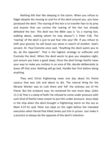Nothing kills fear like sleeping in the storm. When you refuse to fidget despite the moving to and fro of the devil around you, you have paralyzed the devil. The roaring of the lion is to transfer fear to its prey and anyone that can survive the roaring of the lion has already defeated the lion. The devil too the Bible says is "as a roaring lion, walking about, seeking whom he may devour"( 1 Peter 5:8). The 'roaring' of the devil is just to put fear into your life. If you refuse to shift your ground, he will leave you alone in search of another. God's servant, Dr. Paul Enenche once said, "Anything the devil wants you to do, do the opposite". That is the highest strategy to suffocate and frustrate the devil. When the devil wants to give you sleepless night, just ensure you have a good sleep. Once the devil brings fearful news your way to make you restless in an area of life, decide deliberately to leave off that area. Nothing will go bad. Handle fear first before doing anything.

They sent Christ frightening news one day about his friend Lazarus that was sick and about to die. The natural thing for the Miracle Worker was to rush there and 'kill' the sickness out of His friend. But the scripture says, he remained for two more days. (John 11:1-6) That is a sleep of faith! He refused to come under pressure with such kind of fearful news meant to put Him under pressure. Jesus slept in the ship when the devil brought a frightening storm on the sea as Mark 4:37-41 said. Peter too slept on the night before the intended execution when Herod that killed James put him in prison. Just make it a practice to always do the opposite of the devil's intention.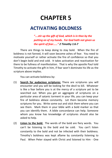# **CHAPTER 5**

# **ACTIVATING BOLDNESS**

*"….stir up the gift of God, which is in thee by the putting on of my hands. For God hath not given us the spirit of fear……" 2 Timothy 1:6-7*

There are things to keep doing to stay bold. When the fire of boldness is not fanned, it will soon become ashes of fear. You need to motivate yourself or rather activate the fire of confidence so that you don't begin bold and end cold. It takes activation and reactivation for there to be fullness of manifestation. That is why the apostle Paul told Timothy to activate the gift in him, if fear won't dominate his life as the scripture above implies.

You can activate boldness by:

- (1) **Search for audacious scriptures:** There are scriptures you will encounter and you will be looking for the devil to kill. Whatever is like a fear before you is at the mercy of a scripture yet to be searched out. When you get an aggregate of scriptures on a particular area of satanic torment in your life, you can keep your fire of boldness ablaze constantly. Let them become memory scriptures for you. Write some out and stick them where you can see them. Mark them in your bible with a bold marker so that you can identify them. A bible concordance can help. Someone whom you know has knowledge of scriptures should also be asked to help.
- (2) **Listen to the bold:** The words of the bold are fiery words. You can't be listening to the bold and be cold. You can't listen constantly to the bold and not be infected with their boldness. Timothy's boldness was kept aflame by constantly listening to Paul. When Peter stayed with Christ and listened to Him - One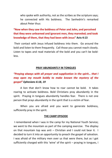who spoke with authority, not as the scribes as the scripture says; he connected with His boldness. The Sanhedrin's remarked about Peter thus:

# **"Now when they saw the boldness of Peter and John, and perceived that they were unlearned and ignorant men, they marveled; and took knowledge of them, that they had been with Jesus" Acts 4:13**

Their contact with Jesus infused boldness into them. Go around the bold and listen to them frequently. Call those you cannot reach closely. Listen to tapes and read materials of the bold and you can't be boldless.

#### **PRAY ABUNDANTLY IN TONGUES**

# *"Praying always with all prayer and supplication in the spirit… that I may open my mouth boldly to make known the mystery of the gospel" Ephesians 6:18, 19*

A lion that don't know how to roar cannot be bold. It takes roaring to activate boldness. Bold Christians pray abundantly in the spirit. Praying in tongues abundantly handles fear. There is not one person that prays abundantly in the spirit that is a victim of fear.

When you are afraid and you want to generate boldness, sufficiently pray in the spirit.

#### **THE CAMP EPISODE**

I remembered when I was in the camp for my National Youth Service; we went to the mountain as part of the camping exercise. The display on that mountain top was anti – Christian and I could not bear it. I decided to turn it into an opportunity to preach the gospel of salvation. I was afraid of the military men over us that were there, but as I got sufficiently charged with this 'wine' of the spirit – praying in tongues, I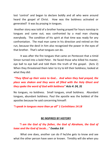lost 'control' and began to declare boldly and all who were around heard the gospel of Christ. How was the boldness activated or generated? It was by praying in tongues.

Another story was told of a brother having prayed for hours nonstop in tongues and came out; was confronted by a mad man chasing everybody. The condition of his spirit at that time was ready for any confrontation. The mad man came in his direction and retired on the run, because the devil in him also recognized the power in the eyes of that brother. That's what tongues can do.

It was after the fire tongues that came on Pentecost that a timid Simon turned into a bold Peter. He faced those who killed his master, eye ball to eye ball and told them the truth of the gospel. (Acts 2) When they threatened them later to try to kill their boldness; looked at what they did:

## *"They lifted up their voice to God… And when they had prayed, the place was shaken and they were all filled with the Holy Ghost and they spake the word of God with boldness" Acts 4: 24, 31*

No tongues, no boldness. Small tongues, small boldness. Abundant tongues, abundant boldness. Paul the apostle was the boldest of the apostles because he said concerning himself:

#### *"I speak in tongues more than ye all" 1 Corinthians 14:18*

#### **BE INSPIRED BY HISTORY**

### *"I am the God of thy father, the God of Abraham, the God of Isaac and the God of Jacob…." Exodus 3:6*

What one does, another can do if he/she gets to know and see what the other person have seen or known. Timidity will die when you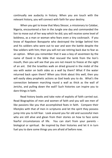continually see audacity in history. When you are touch with the relevant history, you will connect with faith for your destiny.

When you get to know that Mary Slessor, a missionary to Calabar, Nigeria, encountered a lion in the Jungle one day and commanded the lion to move out of her way which he did; you will receive some level of boldness, as a man or woman who fears even a tiny cockroach. If you know of Napoleon Bonaparte who destroyed the bridge behind him and his soldiers who were out to war and won the battle despite the few soldiers with him; then you will not see retiring back due to fear as an option. When you remember that it was a boy of seventeen by the name of David in the bible that rescued the lamb from the lion's mouth, then you will see that you are not meant to freeze at the sight of an ant. Did the Israelites walk on dried ground in the midst of the sea with water on both sides as a wall by them? What if the water returned back upon them? When you think about this well, then you will easily obey prophetic actions as God leads you to do. What's the connection between marching round a wall as thick as the wall of Jericho, and pulling down the wall? Such histories can inspire you to dare things in faith.

Read history books and take note of exploits of faith carried out. Read Biographies of men and women of faith and you will see men of like passions like you that accomplished feats in faith. Compare their lifestyles with that of men in scriptures and let the spirit they possess jump into you to kill fear. Look around you for old and successful men who are still alive and glean from their stories on how to face some fearful circumstances of life. You can start from your parents biological or spiritual. Be inspired by their histories and let it in turn fuel you to dare some things you are afraid of before now.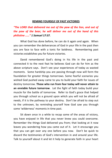#### **REMIND YOURSELF OF PAST VICTORIES**

*"The LORD that delivered me out of the paw of the lion, and out of the paw of the bear, he will deliver me out of the hand of this philistine ……" 1 Samuel 17:37.*

What God has done before, he can do it again and again. When you can remember the deliverances of God in your life in the past then you are face to face with a tonic for boldness. Remembering past victories establishes you for future victories.

David remembered God's doing in his life in the past and connected it to the next feat he believes God can do for him as the above scripture says. Don't see your experiences of today as wasted moments. Some hardship you are passing through now will form the foundation for greater things tomorrows. Some fearful scenarios you wished God pushed away came to you to build your faith for issues of destiny tomorrow. **Those who run from fear today will never attain to an enviable future tomorrow**. Let the fight of faith today build your muscle for the battle of tomorrow. Refer to God's grace that helped you through school as a ground upon which you will not be afraid of needs, if it is the pathway to your destiny. Don't be afraid to step out to the unknown, by reminding yourself how God saw you through some 'wilderness' moments in time past.

Sit down once in a while to recap some of the areas of victory, you have enjoyed in life that you never knew you could overcome. Remember the things God delivered you from; that looking at it now leaves you wondering how you came out of it. Let it encourage you that you can get over any one before you now. Don't be quick to discard the testimonies of God's intervention in and around your life. Talk to yourself about it and let it help to generate faith in your heart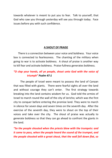towards whatever is meant to put you to fear. Talk to yourself, that God who saw you through yesterday will see you through today. Face issues before you with such confidence.

#### **A SHOUT OF PRAISE**

 There is a connection between your voice and boldness. Your voice box is connected to fearlessness. The chanting of the military when going to war is to activate boldness. A shout of praise is another way to kill fear and activate boldness. Praise-fullness generates boldness.

### *"O clap your hands, all ye people, shout unto God with the voice of triumph" Psalm 47:1*

The people of Israel were meant to possess the land of Canaan that was filled with giants. There were fearful sights all over the land and without courage they can't enter. The first strategy towards breaking into the land contains wisdom for us. God told the armies of Israel to march round the wall of the city of Jericho; which was the first city to conquer before entering the promise land. They were to march in silence for seven days and seven times on the seventh day. After the exercise of the seventh day, they were to shout on the top of their voices and take over the city. The shout of praise was actually to generate boldness so that they can go ahead to confront the giants in the land.

*"So the people shouted when the priests blew with the trumpets: and it came to pass, when the people heard the sound of the trumpet, and the people shouted with a great shout, that the wall fell down flat, so*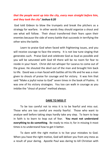### *that the people went up into the city, every man straight before him, and they took the city" Joshua 6:20*

God told Gideon to blow the trumpets and break the pitchers as a strategy for warfare. In other words they should organize a shout and see what will follow. Their shout transferred their fears upon their enemies because the side of every battle that succeeds in terrifying the other wins the battle.

Learn to praise God when faced with frightening issues, and you will receive courage to face the enemy. It is not low tune singing that generates such. Praise God and celebrate God as loud as possible and you will be saturated with God till there will be no room for fear to reside in your heart. Christ did not whisper for Lazarus to come out of the grave. He shouted the devil out of the man and brought him back to life. David was a man faced with battles all his life and he was a man given to shouts of praise for courage and for victory. It was him that said "Make a joyful noise to God" seven times in the book of Psalms. It was one of his victory strategies. You too can walk in courage as you imbibe the "shout of praise" method always.

#### **DARE TO MISS IT**

To be too careful not to miss it is to be fearful and miss out. Those who are too careful are mostly fearful. Those who want to analyze well before taking steps hardly take any step. To learn to leap in faith is to learn to leap out of fear. **You must not understand everything to do something**. Be ready to miss it; for in missing it most times is to understand how to get it better.

To dare with the right motive is to live your mistakes to God. When you have the right motive, God will deliver you from any mess as a result of your daring. Apostle Paul was daring to kill Christian with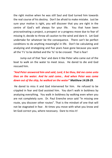the right motive when he was still Saul and God turned him towards the real course of his destiny. Don't be afraid to make mistake. Just be sure your motive is right, you will discover that you are right in the centre of God's will always for your life. You that have been procrastinating a project, a prospect or a progress move due to fear of missing it; decide to throw all caution to the wind and dare it. Let God undertake for whatever be the consequence. There can't be perfect conditions to do anything meaningful in life. Don't be calculating and analyzing and strategizing and five years have gone because you want all the 'I's' to be dotted and the 'ts' to be crossed. That is fear!

Jump out of that 'box' and dare it like Peter who came out of the boat to walk on the water to meet Jesus. He dared to die and God rescued him.

## *"And Peter answered him and said, Lord, it be thou, bid me come unto thee on the water. And he said come… And when Peter was come down out of the ship, he walked on the water" Matthew 14:28-29*.

He dared to miss it and God intervened for him. He refused to be crippled in fear and God assisted him. You don't walk in boldness by analyzing everything. You walk in boldness by walking even when you are not completely sure. Dr. Paul Enenche once said "In missing one route, you discover other routes". That is the mindset of one that will not be stagnated in fear. At times you move with what you know and let God correct you, where necessary. Dare to miss it!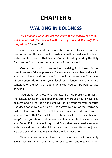# **CHAPTER 6**

# **WALKING IN BOLDNESS**

# *"Yea though I walk through the valley of the shadow of death, I will fear no evil, for thou art with me, thy rod and thy staff they comfort me" Psalm 23:4*

God does not intend for us to walk in boldness today and walk in fear tomorrow. He wants us to constantly walk in boldness like Jesus walked while on earth. That is what God achieved by sending the Holy Ghost to the Church after He raised Jesus from the dead.

One strong 'tool' to use to keep walking in boldness is the consciousness of divine presence. Once you are aware that God is with you; then what should not scare God should not scare you. Your level of awareness determines your level of boldness. Once you are conscious of the fact that God is with you, you will be bold to face anything.

God stands by those who are aware of His presence. Establish the consciousness of God's presence strongly around you always, day or night and neither day nor night will be different for you; because God does not know day or night. The "arrow by day" or the "terror by night" will not constitute a threat to you if you know God is with you. If you are aware that "he that keepeth Israel shall neither slumber nor sleep", then you should not be awake in fear when God is awake over you.(Psalm 121:4) It was Joseph and Mary that were awake running with the child Jesus but the child Jesus was not aware. He was enjoying His sleep even though it was Him that the devil was after.

When you are too conscious of your security you will constantly live in fear. Turn your security matter over to God and enjoy your life.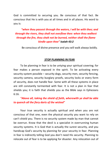God is committed to securing you. Be conscious of that fact. Be conscious that He is with you at all times and in all places. His word to you is:

# *"when thou passest through the waters, I will be with thee; and through the rivers, they shall not overflow thee: when thou walkest through the fire, thou shalt not be burned, neither shall the flame kindle upon thee" Isaiah 43:2*

Be conscious of divine presence and you will walk always boldly.

#### **STOP PLANNING IN FEAR**

To be planning in fear is to be untying your spiritual covering; for fear makes a person exposed in the spirit. To be activating every security system possible – security dogs, security men, security fencing, security camera, security burglary proofs, security locks or every form of security, does not handle fear. Some with all these systems in place are still constantly tormented with fear. It is not a plan in fear that shields you; it is faith that shields you as the Bible says in Ephesians 6:16.

## *"Above all, taking the shield of faith, wherewith ye shall be able to quench all the fiery darts of the wicked"*

Your true security is actually spiritual and when you are not conscious of that one, even the physical security you want to rely on can't shield you. There is no security system made by man that cannot be overrun. Know that the devil is a specialist in overrunning human security systems. It is God that is actually the surest security, and you handicap God's security by planning for your security in fear. Planning in fear is indirectly telling God you don't need His security. Planning to relocate out of fear is to be applying for disaster. Any relocation out of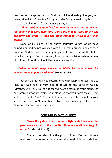fear cannot be sponsored by God. Let divine signals guide you, not fearful signal. Don't use fearful signal as God's signal to do anything.

Jacob planned in fear in Genesis 32:7, 8

*"Then Jacob was greatly afraid and distressed, and he divided the people that were with him… And said, if Esau come to the one company and smite it, then the other company which is left shall escape"* 

None of his plans in the above scripture verses would have helped him; had he not wrestled with the angel in prayers and changed his story. God did not tell him anything about Esau in that matter but as he acknowledged God in prayers, Esau became a friend when he saw him. Esau's intention of evil died when he saw him.

## *"When a man's ways please the LORD, he maketh even his enemies to be at peace with him" Proverbs 16:7*

Joseph did not want to return home with Mary and Jesus due to fear, but God had to warn him to return to the parts of Galilee (Matthew 2:21-22). So let not fearful news determine your plans. Let not satanic threat determine your plans, so that you don't escape from a 'dog' to meet a 'lion'. Pray and plan in faith. Seek God's will for your life per time and don't be motivated by fear as you plan your life issues. Be moved by God's word per time.

#### **CONTINUE IMPACT JOURNEY**

**"Now the gates of Jericho were tightly shut because the people were afraid of the Israelites. No one was allowed to go in or out"** Joshua 6:1 (NLT)

There is no prison like the prison of fear. Fear imprisons a man from the potentials in him and the possibilities outside him.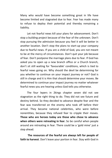Many who would have become something great in life have become limited and stagnated due to fear. Fear has made many to refuse to deploy their potential and thereby remaining a liability.

Let not fearful news kill your plans for advancement. Don't stop a building project because of the fear of the unknown. Don't stop pursuing the admission because you feel it will be better in another location. Don't stop the plans to start-up your company due to fearful news. If you are a child of God, you are not meant to be at the mercy of circumstances. Don't quit your job because of fear. Don't postpone the marriage plans due to fear. If God has asked you to open up a new branch office or a Church branch, don't sit still waiting for 'favourable' conditions, which is tied to fearful news going on. Why should the devil be determining for you whether to continue on your impact journey or not? God is still in charge and it is Him that should determine your moves. Be determined to continue your impact journey no matter whatever fearful news you are hearing unless God tells you otherwise.

The four lepers in 2kings chapter seven did not see stagnation as the right thing to do. They did not see future and destiny behind. So they decided to advance despite fear and the fear was transferred on the enemy who took off before their arrival. They became national celebrities, who were before nonentities, because they refused fear to cripple their moves. **Those who are heroes today are those who chose to advance when others were retreating in fear.** So be careful when people around are retreating in fear. There could be a 'gold mine' just a step ahead.

**The resources of the fearful are always left for people of faith to harvest**. Don't leave your portion in fear. Stay with God in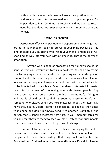faith, and those who run in fear will leave their portion for you to add to your own. Be determined not to stop your plans for impact due to fear. Continue aggressively and let God redirect if need be. God does not assist those who remain on one spot due to fear.

#### **AVOID THE FEARFUL**

Association affects composition and disposition. Some things that are not in your thought begin to prevail in your mind because of the kind of people you associate with. What your friend is made up of will soon find its way into you even without knowing. That is the power of association.

Anyone who is good at propagating fearful news should be kept far from you, if you want to walk in boldness. You can't overcome fear by hanging around the fearful. Even praying with a fearful person cannot handle the fears in your heart. There is a way fearful news locates fearful people and anyone around them will be the first victim to be infected with such fears. Don't be always interested in fearful news. It has a way of connecting you with fearful people. Any newspaper that you come in contact with that promotes fearful sights and words should be discarded as soon as possible. Don't visit someone who always sends you text messages about the latest ugly news they heard. Delete fearful text messages as soon as they enter your phone and don't in anyway send it to another. Don't think the person that is sending messages that torture your memory cares for you and that they are trying to keep you alert. Instead stop such people where you can and avoid them if they refuse to change.

Ten out of twelve people returned back from spying the land of Canaan with fearful news. They polluted the hearts of millions of people and ruined their destiny; that they could not enter the Promised Land God had in mind for them. (Numbers 13 and 14) Fearful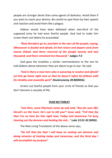people are stronger devils than some agents of darkness. Avoid them if you want to reach your destiny. Be careful to spot them by their speech and reaction and avoid them like a plague.

Gideon would have been defeated when two-third of the supposed army he had were fearful people. God had to make him screen them out before he proceeded.

*"Now therefore go to, proclaim in the ears of the people, saying, Whosoever is fearful and afraid, let him return and depart early from mount Gilead. And there returned of the people twenty and two thousand; and there remained ten thousand." Judges 7:3*

God gave the Israelites a similar commandment to the one he told Gideon above whenever they are about to go to war. He said:

*"And is there a man here who is wavering in resolve and afraid? Let him go home right now so that he doesn't infect his fellows with his timidity and cowardly spirit" Deuteronomy 20:80(MSG).*

Screen out fearful people from your circle of friends so that you don't become a casualty of life.

#### **FEAR NO THREAT**

*"Just then, some Pharisees came up and said, "Run for your life! Herod's on the hunt. He's out to kill you!" Jesus said, "Tell that fox that I've no time for him right now. Today and tomorrow I'm busy clearing out the demons and healing the sick…" Luke 13:31-32 (MSG).*

The New Living Translation of the above verse says,

*"Go tell that fox that I will keep on casting out demons and doing miracles of healing today and tomorrow; and the third day I will accomplish my purpose"*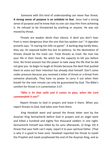Someone with this kind of understanding can never fear threat. **A strong sense of purpose is an antidote to fear**. Jesus had a strong sense of purpose and he knew that no one can stop Him from achieving it. He refused to be threatened by anything or anyone. He was not moved by threat.

Threats are weaker devils than silence. A devil you don't hear from is more dangerous than the one that has spoken out." A Ugandan proverb says, "A roaring lion kills no game". A barking dog hardly bites, they say. An exposed bullet has lost its potency. So the destination of threats should be the trash can. Treat threats as trash. No man has your life in their hands. No witch has the capacity to kill you before time. No hired assassin has the power to take away the life that he did not give you. So begin to laugh at threats because the devil that pushed them to voice out their intention has already shot himself. Don't come under pressure because you received a letter of threat or a threat from someone physically. They have no power to carry it out when their breath for the next minute can only be guaranteed by God. The Bible's comfort for threat is in Lamentation 3:37.

## *"Who is he that saith and it comes to pass, when the Lord commandeth it not?"*

Report threats to God in prayers and leave it there. When you report threats to God, God takes over from there.

King Hezekiah went and spread the threat letter sent by the Assyrian King Sennacherib before God in prayers and an angel went and killed a hundred and eighty five thousand soldiers in one night. Sennacherib himself was killed by his sons afterwards. (2 Kings 19) A threat that your faith can't reply, report it to your spiritual father. (That is why it is good to have one). Hezekiah reported the threat to Isaiah the Prophet and Isaiah prophesied the end of the Assyrian King, and as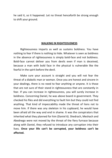he said it, so it happened. Let no threat henceforth be strong enough to shift your ground.

#### **WALKING IN RIGHTEOUSNESS**

Righteousness imparts as well as sustains boldness. You have nothing to fear if there is nothing to hide. Whatever is seen as boldness in the absence of righteousness is simply bold-face and not boldness. Bold-face cannot deliver you from devils even if man is deceived, because a man with bold face in the physical is vulnerable like the fearful in the spirit before the devil.

Make sure your account is straight and you will not fear the threat of a diabolic man or woman. Once you are honest and sincere in your dealings, there is no need to fear anything or anyone. It is those that are not sure of their stand in righteousness that are constantly in fear. If you can increase in righteousness, you will surely increase in boldness. Concerning Daniel, he was above board in government. They checked his files and did everything to fault him but they could not find anything. That kind of impeccability made the threat of lions not to move him. If there was any skeleton in his cupboard, he would have been afraid all the way and end in shame. It was the conspirators that inherited what they planned for him (Daniel 6). Shedrach, Meshach and Abednego were not moved by the threat of the fiery furnace because along with Daniel, they refused to introduce any corruption into their lives. **Once your life can't be corrupted, your boldness can't be affected.**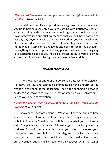#### *''The wicked flee when no man pursueth, but the righteous are bold as a lion''. Proverbs 28:1*

Straighten your life and put things straight so that your head can stay up in boldness. Any area you are battling with unrighteousness is an area to deal with squarely, if you will regain your boldness again. Draw integrity lines and stick to them so that you will have nothing to fear any day anytime. Ensure that there is nothing you will be ashamed of if discovered around you per time. Let your integrity lines be beyond the bounds of suspicion. Be ready at any point to render due account for anything in your disposal. Let any person that wants to bring any false accusation against you not be a threat because you are living above board in all areas. Be right and you won't live in fright.

#### **WALK IN KNOWLEDGE**

'

The lawyer is not afraid of the policeman because of knowledge. He knows the law and cannot be intimidated by the uniform or the weapon in the hand of the policeman. That is the connection between boldness and knowledge. Your strength of stand on your conviction is tied to your depth of revelation.

## *"….but the people that do know their God shall be strong and do exploits" Daniel 11:32b*

Knowledge sponsors boldness. What you know determines how you speak or act. If you are not knowledgeable in any area, you can't be bold in that area. You don't talk with boldness, what you don't know well. The presence or absence of knowledge is usually signaled by boldness. So to increase your boldness, you have to increase your knowledge. You are bold to the degree at which you are knowledgeable. A Primary School leaver can be bold talking before primary school pupils but his fears will be betrayed when he stands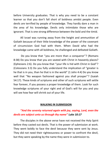before University graduates. That is why you need to be a constant learner so that you don't fall short of boldness amidst people. Even devils are terrified by people of knowledge. They hardly dare a man in the area of his knowledge. Devils only intimidate those who are ignorant. That is one strong difference between the bold and the timid.

All Israel was running away from the height and ammunition of Goliath because of their little knowledge of the power of the covenant of circumcision God had with them. When David who had the knowledge came with all boldness, he challenged and defeated Goliath.

Do you know that ''you are more than a conqueror''? (Romans 8:38) Do you know that you are seated with Christ in heavenly places? (Ephesians 2:6). Do you know that ''your life is hid with Christ in God''? (Colossians 3:3) Do you fully understand the implication of "greater is he that is in you, than he that is in the world" (1 John 4:4) Do you know well that ''No weapon fashioned against you shall prosper''? (Isaiah 54:17). These kinds of scriptures and other of such scriptures will settle fear forever, if you possess a proper knowledge of them. Look for such knowledge scriptures of your right and of God's will for you and you will see how fear will shrink out of your life.

#### **WALKING IN SUBMISSION**

### *''And the seventy returned again with joy, saying, Lord, even the devils are subject unto us through thy name'' Luke 10:17*

The disciples in the above verse have not received the Holy Spirit before they casted out devils. That is the power of submission at work. They went boldly to face the devil because they were sent by Jesus. They did not need their righteousness or power to confront the devil, but they were speaking by the name they were in submission to.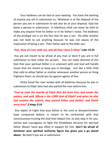Your boldness can be tied to your backing. You have the backing of anyone you are in submission to. Whatever is at the disposal of the person you are in submission to will also be at your disposal. God too backs a person in submission. A rebellious child can never be bold to make any request from his father or in his father's name. The boldness of the prodigal son is on the fact that he was a son. His elder brother was not bold to ask anything because he was not aware of the implication of being a son. Their father said to the elder son:

#### *"Son, thou art ever with me, and all that I have is thine" Luke 15:31*

You are not meant to be afraid of any man or devil if you are in full submission to God under His servant. You can make demand of the God that your spiritual father is in covenant with and God will handle issues that are meant to keep you in bondage. Just like a little child that calls to either father or mother whenever another person or thing frightens them; so should you be against agents of fear.

Elisha faced the river Jordan with all boldness because he was in submission to Elijah who had also parted the river before him.

# *"And he took the mantle of Elijah that fell from him, and smote the waters, and said, Where is the LORD God of Elijah? and when he also had smitten the waters, they parted hither and thither: and Elisha went over" 2 kings 2:14*

 Any object of fright that your father in the Lord or discipler/mentor have conquered before, is meant to be confronted with that consciousness trusting the God that helped him, to also step in for you. Joshua was courageous to fight the Amalekites because his spiritual father Moses' hand was lifted in support for him. **Don't be afraid of whatever your spiritual authority figure has given you a go ahead about.** Be bold if you are in submission.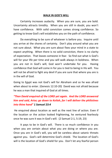#### **WALK IN GOD'S WILL**

Certainty increases audacity. When you are sure, you are bold. Uncertainty attracts timidity. When you are still in doubt, you won't have confidence. With solid conviction comes strong confidence. So getting to know God's will establishes you on the path of confidence.

Do everything to be sure of whatever is before you. Inquire until you arrive at the shores of certainty. Don't play around what you are not sure about. What you are sure about fixes your mind in a state to expect anything. When there is no solid conviction, there is no clarity of expectation. That leaves someone in fear. So find out what is God's will for your life per time and you will walk always in boldness. When you are not in God's will, God won't undertake for you. Having confidence that God will come in for you is tied to being in His will. You will not be afraid to fight any devil if you are sure that where you are is in the will of God.

Going to Egypt was not God's will for Abraham and so he was afraid when about to enter. (Genesis 12:10-20) David was not afraid because he was a man that inquired of God at all times.

# *"Then David enquired of the LORD yet again. And the LORD answered him and said, Arise; go down to Keilah, for I will deliver the philistines into thine hand" 1 Samuel 23:4*

He enquired about location as well as the next line of action. Even if the location or the action looked frightening, he ventured fearlessly once he was sure it was in God's will. (2 Samuel 2:1, 5:19, 23)

It pays to be in God's will. There is so much confidence in you when you are certain about what you are doing or where you are. Once you are in God's will, you will be careless about satanic threats against you. God's will determine God's shield. The location of God's will is the location of God's shield for you. Don't let any fearful person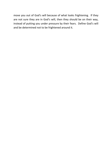move you out of God's will because of what looks frightening. If they are not sure they are in God's will, then they should be on their way, instead of putting you under pressure by their fears. Define God's will and be determined not to be frightened around it.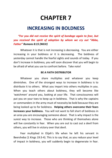# **CHAPTER 7**

# **INCREASING IN BOLDNESS**

# *"For you did not receive the spirit of bondage again to fear, but you received the spirit of adoption by whom we cry out "Abba, Father" Romans 8:15 (NKJV)*

Whatever it is that is not increasing is decreasing. You are either increasing in your boldness or it is decreasing. The boldness of yesterday cannot handle the fearful sights and sounds of today. If you don't increase in boldness, you will soon discover that you will begin to be afraid of what you use to confront before. Take note!

#### **BE A FAITH DISTRIBUTOR**

Whatever you share multiplies and whatever you keep diminishes. One of the strongest ways to increase in boldness is to distribute it to others. What you impart into others multiplies in you. When you teach others about boldness, they will become like 'watchmen' around you, looking at your life. That consciousness will put you on your toes to keep up in boldness. That is why the captains or commanders in the army must of necessity be bold because they are being looked up to for boldness. **Helping others overcome their fears increases your boldness.** You will not want to fall short of boldness in an area you are encouraging someone about. That is why impact is the surest way to increase. Those who are thinking of themselves alone will live constantly in fear. When you are out to cast out a devil from others, you will live in victory over that devil.

Fear multiplied in Elijah's life when he left his servant in Beersheba (1 Kings 19:3-4). This is to say that, as you reduce your level of impact in boldness, you will suddenly begin to degenerate in fear.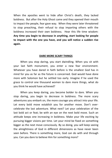When the apostles went to hide after Christ's death, they lacked boldness. But after the Holy Ghost came and they opened their mouth to impact the people, fear gave way. When they were later threatened to stop preaching, their refusal to stop imparting others with the boldness increased their own boldness. Hear this life time wisdom: **Any time you begin to decrease in anything, start looking for people to impact with the one you have, and you will notice a sudden rise again.**

#### **DARE MORE SCARY THINGS**

When you stop daring, you start dwindling. When you sit with your last faith monument, you enter a new fear environment. Whatever you have dared in faith before is the smallest God has in mind for you as far as the future is concerned. God would have done more with Solomon but he settled too early. Imagine if he used the grace to control one thousand women to dare more things, what do you think he would have achieved?

When you keep daring, you become bolder to dare. When you stop daring, you begin to decrease in boldness. The more scary adventures you embark on, the more courage you attract into your life. Let every bold move establish you for another move. Don't overcelebrate the last adventure. What next? Let your celebration of the last bold act or feat; be with an eye on the next bold move. Such an attitude keeps one increasing in boldness. Make your life exciting by pursuing bigger visions per time. Let your mind be fixed on something bigger as the next move consciously. By so doing, you will keep seeing the almightiness of God in different dimensions as have never been seen before. There is something more, God can do with and through you. Can you dare to believe Him for something more?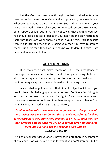Let the God that saw you through the last bold adventure be resorted to for the next one. Once God is approving it, go ahead boldly. Whenever you want to dare anything for God and there is fear in your heart, then God is likely telling you to go ahead; because God cannot be in support of fear but faith. I am not saying that anything you see, you should dare. Let lack of peace in your heart be the only restraining factor not fear! Dare when there is peace in your heart. Dare it despite fear. If it is lack of peace that is facing you, then you have to stop to check. But if it is fear, then God is releasing you to dare it in faith. Dare more and increase in boldness.

#### **ACCEPT CHALLENGES**

It is challenges that make champions. It is the acceptance of challenge that makes one a victor. The devil keeps throwing challenges at us every day and it is meant by God to increase our boldness. It is not in running away that you are blessed but in running towards.

Accept challenge to confront that difficult subject in School. If you fear it, then it is challenging you for a contest. Don't see fearful sights as coincidence; see it as a call for fight. Only those who accept challenge increase in boldness. Jonathan accepted the challenge from the Philistines and God wrought a great victory.

*''And Jonathan said, … come and let us go over unto the garrison of these uncircumcised; it may be that the Lord will work for us: for there is no restraint to the Lord to save by many or by few…. But if they say thus, come up unto us, then we will go up for the Lord hath delivered them into our hand and this shall be a sign unto us'' 1 Samuel 14:6, 10*

The sign of constant deliverance is never seen until there is acceptance of challenge. God will never step in for you if you don't step out; but as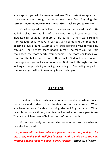you step out, you will increase in boldness. The constant acceptance of challenge is the sure guarantee to overcome fear. **Anything that torments your memory in fear is what God is asking you to confront.**

David accepted the Goliath challenge and increased his C.V. He added Goliath to the list of challenges he had conquered. That increased his courage for more of life battles. Others were running from Goliath for forty days in fear but David came and the 'mountain' became a level ground (1 Samuel 17). Stop looking always for the easy way out. That is what keeps people in fear. The more you run from challenges, the more fearful you become. The more challenges you confront, the bolder you become. Don't make God look weak. Accept challenges and you will see more of what God can do through you, stop looking at the possibility of failing or missing it. See failing as part of success and you will not be running from challenges.

#### **IF I DIE, I DIE**

The death of fear is when you no more fear death. When you are no more afraid of death, then the death of fear is confirmed. When you become ready for death nothing else will frighten you. When death is no more a threat, then fear will actually become a past tense. That is the highest level of boldness – confronting death.

Esther was ready to die and she became bold to dare what no one else has dared.

*"Go, gather all the Jews who are present in Shushan, and fast for me…… My maids and I will fast likewise. And so I will go to the King which is against the law, and if I perish, I perish!" Esther 4:16 (NKJV)*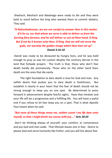Shedrach, Meshach and Abednego were ready to die and they were bold to stand before the king who wanted them to commit idolatry. They said:

# *"O Nebuchadnezzar, we are not careful to answer thee in this matter. If it be so, our God whom we serve is able to deliver us from the burning fiery furnace, and he will deliver us out of thine hand, O King. But if not be it known unto thee, O King, that we will not serve thy gods, nor worship the golden image which thou hast set up" Daniel 3:16-18*

Daniel was ready to be devoured by hungry lions, and he was bold enough to pray as was his custom despite the contrary decree in the land that forbade prayers. The truth is that, those who don't fear death hardly die prematurely. Those who on the other hand fears death are the ones that die easily.

The right foundation to dare death is love for God and man. Any selfish desire that pushes you to dare death is foolishness. But establish it clearly in your heart that the fear of death should not be strong enough to keep you on one spot. Be determined to press forward in advancement despite fearful sights. Have that mindset and your life will be a progressive and a fulfilling life. You will have a joyful end if you refuse to let fear keep you on a spot. That is what Apostle Paul meant when he said:

## *"But none of these things move me, neither count I my life dear unto myself, so that I might finish my course with joy…." Acts 20:24*

 Don't be thinking always of yourself, your comfort, or convenience and put God and men aside. That lifestyle leaves one in fear. Desire to please God and serve humanity like Esther; and you will live above fear.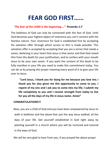# **FEAR GOD FIRST……**

## *"The fear of the LORD is the beginning…." Proverbs 1:7*

The boldness of God can only be connected with the fear of God. Until God becomes your highest object of reverence you can't connect with His fearless nature. Your reverence for God is established first by accepting His salvation offer through which access to Him is made possible. This salvation offer is accepted by accepting that you are a sinner that needs a savior, believing in your heart that Jesus is that savior and that God raised Him from the death for your justification; and to confess with your mouth Jesus to be your own savior. If you want the content of this book to be fully manifest in your life you need to make this commitment today. You can do so by praying this prayer meaning every word of it to give your life over to Jesus.

 **"Lord Jesus, I thank you for dying for me because you love me; I thank you for also given me this opportunity to come to you. I repent of my sins and I ask you to come into my life; I submit my life completely to you and I receive strength from today to live for you all the days of my life in Jesus name. Amen"**

#### **CONGRATULATIONS!!!**

Now, you are a child of God and you have been empowered by Jesus to walk in boldness and live above fear just the way Jesus walked, all the days of your life. Get yourself established in God right away by planting yourself in a church where you will be nurtured and tutored in the ways of God.

We will be very glad to hear from you, if you prayed the above prayer.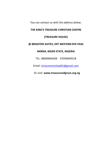You can contact us with the address below.

#### **THE KING'S TREASURE CHRISTIAN CENTRE**

#### **(TREASURE HOUSE)**

#### **@ BRIGHTER SUITES, OFF WESTERN BYE PASS**

#### **MINNA, NIGER STATE, NIGERIA**

TEL. 08069666304 07058449518

Email: [innocentmichael01@gmail.com](mailto:innocentmichael01@gmail.com)

Or visit: **www.treasuresofgrace.org.ng**